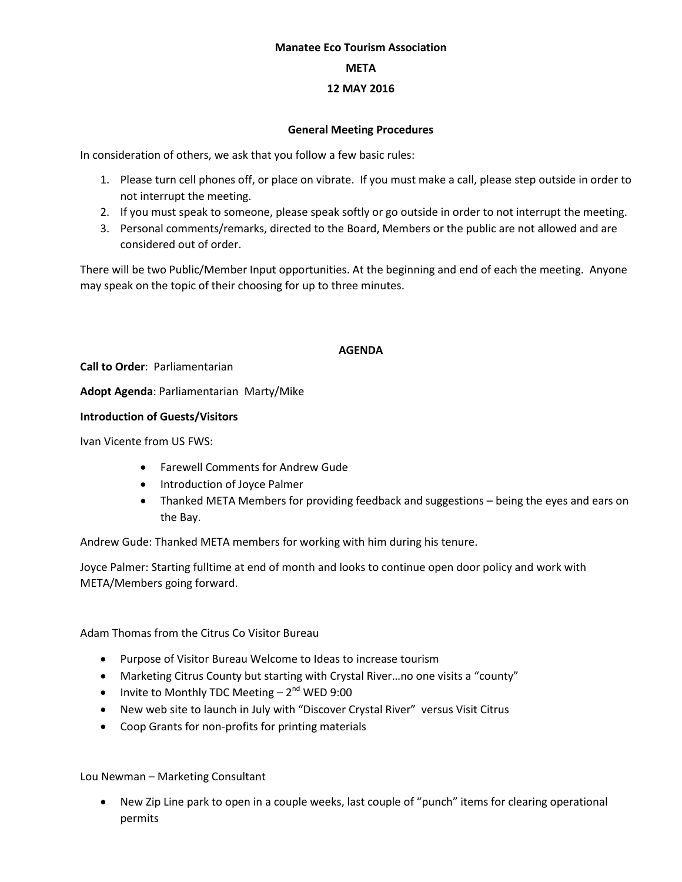#### **Manatee Eco Tourism Association**

#### **META**

### **12 MAY 2016**

#### **General Meeting Procedures**

In consideration of others, we ask that you follow a few basic rules:

- 1. Please turn cell phones off, or place on vibrate. If you must make a call, please step outside in order to not interrupt the meeting.
- 2. If you must speak to someone, please speak softly or go outside in order to not interrupt the meeting.
- 3. Personal comments/remarks, directed to the Board, Members or the public are not allowed and are considered out of order.

There will be two Public/Member Input opportunities. At the beginning and end of each the meeting. Anyone may speak on the topic of their choosing for up to three minutes.

# **AGENDA**

**Call to Order**: Parliamentarian

**Adopt Agenda**: Parliamentarian Marty/Mike

### **Introduction of Guests/Visitors**

Ivan Vicente from US FWS:

- Farewell Comments for Andrew Gude
- Introduction of Joyce Palmer
- Thanked META Members for providing feedback and suggestions being the eyes and ears on the Bay.

Andrew Gude: Thanked META members for working with him during his tenure.

Joyce Palmer: Starting fulltime at end of month and looks to continue open door policy and work with META/Members going forward.

Adam Thomas from the Citrus Co Visitor Bureau

- Purpose of Visitor Bureau Welcome to Ideas to increase tourism
- Marketing Citrus County but starting with Crystal River…no one visits a "county"
- Invite to Monthly TDC Meeting  $-2^{nd}$  WED 9:00
- New web site to launch in July with "Discover Crystal River" versus Visit Citrus
- Coop Grants for non-profits for printing materials

Lou Newman – Marketing Consultant

 New Zip Line park to open in a couple weeks, last couple of "punch" items for clearing operational permits